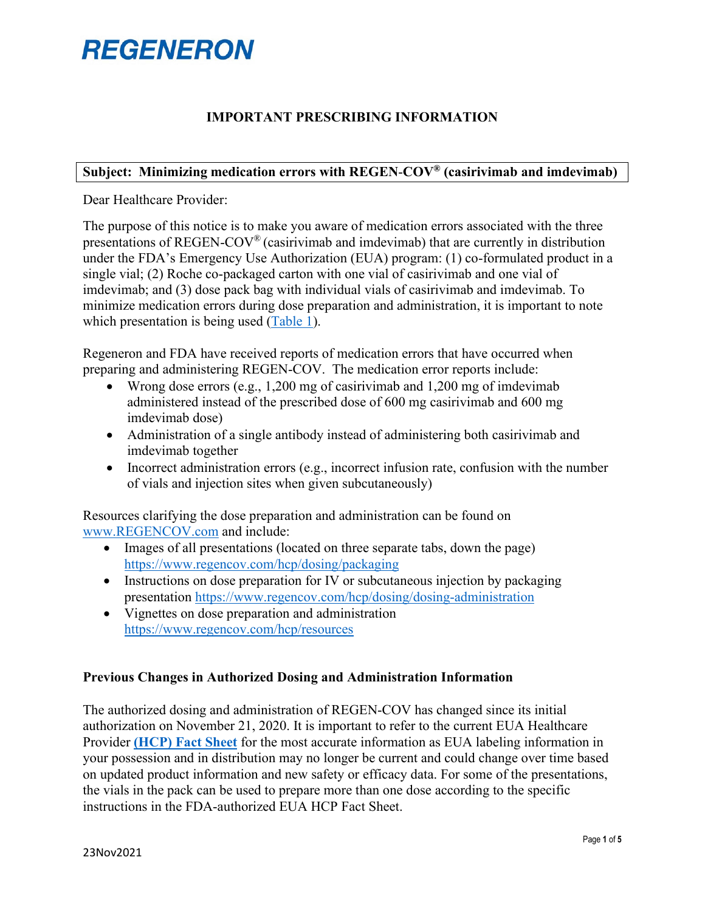### **IMPORTANT PRESCRIBING INFORMATION**

#### **Subject: Minimizing medication errors with REGEN**‑**COV® (casirivimab and imdevimab)**

Dear Healthcare Provider:

The purpose of this notice is to make you aware of medication errors associated with the three presentations of REGEN‑COV® (casirivimab and imdevimab) that are currently in distribution under the FDA's Emergency Use Authorization (EUA) program: (1) co-formulated product in a single vial; (2) Roche co-packaged carton with one vial of casirivimab and one vial of imdevimab; and (3) dose pack bag with individual vials of casirivimab and imdevimab. To minimize medication errors during dose preparation and administration, it is important to note which presentation is being used [\(Table 1\)](#page-1-0).

Regeneron and FDA have received reports of medication errors that have occurred when preparing and administering REGEN-COV. The medication error reports include:

- Wrong dose errors (e.g., 1,200 mg of casirivimab and 1,200 mg of imdevimab administered instead of the prescribed dose of 600 mg casirivimab and 600 mg imdevimab dose)
- Administration of a single antibody instead of administering both casirivimab and imdevimab together
- Incorrect administration errors (e.g., incorrect infusion rate, confusion with the number of vials and injection sites when given subcutaneously)

Resources clarifying the dose preparation and administration can be found on [www.REGENCOV.com](http://www.regencov.com/) and include:

- Images of all presentations (located on three separate tabs, down the page) <https://www.regencov.com/hcp/dosing/packaging>
- Instructions on dose preparation for IV or subcutaneous injection by packaging presentation<https://www.regencov.com/hcp/dosing/dosing-administration>
- Vignettes on dose preparation and administration <https://www.regencov.com/hcp/resources>

#### **Previous Changes in Authorized Dosing and Administration Information**

The authorized dosing and administration of REGEN‑COV has changed since its initial authorization on November 21, 2020. It is important to refer to the current EUA Healthcare Provider **[\(HCP\) Fact Sheet](https://www.regeneron.com/downloads/treatment-covid19-eua-fact-sheet-for-hcp.pdf)** for the most accurate information as EUA labeling information in your possession and in distribution may no longer be current and could change over time based on updated product information and new safety or efficacy data. For some of the presentations, the vials in the pack can be used to prepare more than one dose according to the specific instructions in the FDA-authorized EUA HCP Fact Sheet.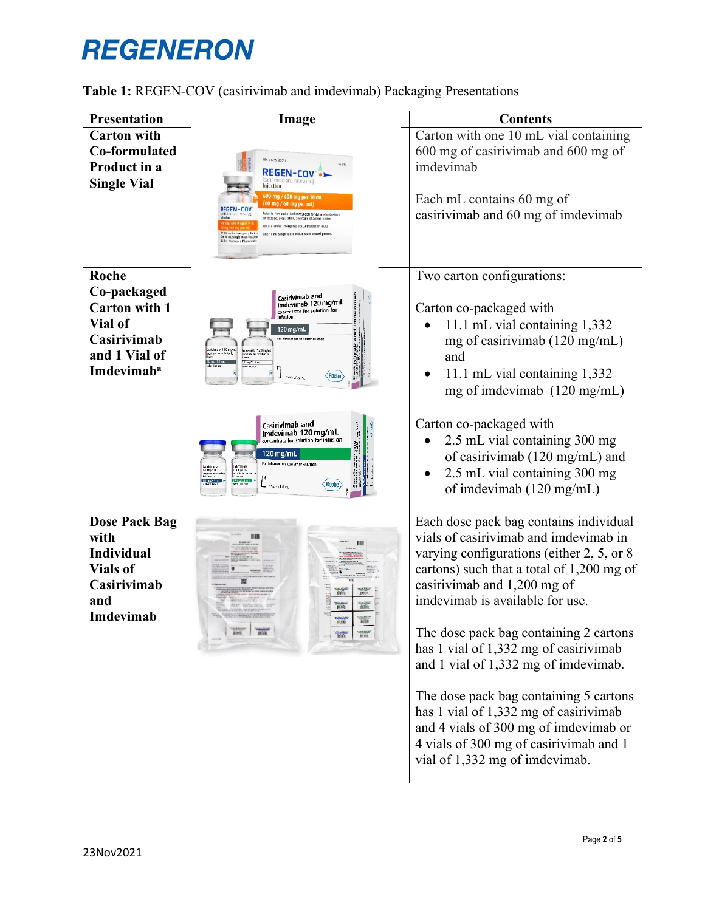<span id="page-1-0"></span>

| <b>Presentation</b>                                                                                               | Image                                                                                                                                                                                                                                                                                                                                                                                                                                                                         | <b>Contents</b>                                                                                                                                                                                                                                                                                                                                                                                                     |
|-------------------------------------------------------------------------------------------------------------------|-------------------------------------------------------------------------------------------------------------------------------------------------------------------------------------------------------------------------------------------------------------------------------------------------------------------------------------------------------------------------------------------------------------------------------------------------------------------------------|---------------------------------------------------------------------------------------------------------------------------------------------------------------------------------------------------------------------------------------------------------------------------------------------------------------------------------------------------------------------------------------------------------------------|
| <b>Carton with</b><br>Co-formulated<br>Product in a<br><b>Single Vial</b>                                         | IK 61755-039-01<br>REGEN-COV<br>njection<br>50 mg / 60 mg per mL'<br>Refer to FDA-authorized Fact Sheets for detailed instructions<br>dosage, preparation, and rogte of administration<br>ne under Emergency Use Authorization (EUA)<br>One 10 ml Single-Dose Vial, Discard unused portio<br>0 ml Single-Dose Val. 31:                                                                                                                                                        | Carton with one 10 mL vial containing<br>600 mg of casirivimab and 600 mg of<br>imdevimab<br>Each mL contains 60 mg of<br>casirivimab and 60 mg of imdevimab                                                                                                                                                                                                                                                        |
| Roche<br>Co-packaged<br><b>Carton with 1</b><br>Vial of<br>Casirivimab<br>and 1 Vial of<br>Imdevimab <sup>a</sup> | Casirivimab and<br>Imdevimab 120 mg/mL<br>concentrate for solution for<br>infusion<br>i 20 mg/mL<br>Mmab 120 myn!<br>devimab 120 mg/m<br>rertate for solution for<br>tate for solution?<br>"32 mg/11.1 mL<br>Katri diudon<br>Roch<br>2 vids of 20 mL                                                                                                                                                                                                                          | Two carton configurations:<br>Carton co-packaged with<br>11.1 mL vial containing 1,332<br>mg of casirivimab (120 mg/mL)<br>and<br>11.1 mL vial containing 1,332<br>mg of imdevimab $(120 \text{ mg/mL})$                                                                                                                                                                                                            |
|                                                                                                                   | Casirivimab and<br>מוצגות הבית<br>יוצגות<br>Imdevimab 120 mg/mL<br>ncentrate for solution for infusion<br>120 mg/mL<br>For intravenous use after dilution<br>2 kgs of 6 mil                                                                                                                                                                                                                                                                                                   | Carton co-packaged with<br>2.5 mL vial containing 300 mg<br>of casirivimab (120 mg/mL) and<br>2.5 mL vial containing 300 mg<br>of imdevimab (120 mg/mL)                                                                                                                                                                                                                                                             |
| <b>Dose Pack Bag</b><br>with<br><b>Individual</b><br><b>Vials of</b><br>Casirivimab<br>and<br>Imdevimab           | imii.<br>puna<br>millin<br>min.<br>龖<br><b>ANS</b><br>$\frac{1}{\sqrt{2}}\frac{1}{\sqrt{2}}\frac{1}{\sqrt{2}}\frac{1}{\sqrt{2}}\frac{1}{\sqrt{2}}\frac{1}{\sqrt{2}}\frac{1}{\sqrt{2}}\frac{1}{\sqrt{2}}\frac{1}{\sqrt{2}}\frac{1}{\sqrt{2}}\frac{1}{\sqrt{2}}\frac{1}{\sqrt{2}}\frac{1}{\sqrt{2}}\frac{1}{\sqrt{2}}\frac{1}{\sqrt{2}}\frac{1}{\sqrt{2}}\frac{1}{\sqrt{2}}\frac{1}{\sqrt{2}}\frac{1}{\sqrt{2}}\frac{1}{\sqrt{2}}\frac{1}{\sqrt{2}}\frac{1}{\sqrt{2}}$<br>TILLE | Each dose pack bag contains individual<br>vials of casirivimab and imdevimab in<br>varying configurations (either $2, 5$ , or 8<br>cartons) such that a total of 1,200 mg of<br>casirivimab and 1,200 mg of<br>imdevimab is available for use.<br>The dose pack bag containing 2 cartons<br>has 1 vial of 1,332 mg of casirivimab<br>and 1 vial of 1,332 mg of imdevimab.<br>The dose pack bag containing 5 cartons |
|                                                                                                                   |                                                                                                                                                                                                                                                                                                                                                                                                                                                                               | has 1 vial of 1,332 mg of casirivimab<br>and 4 vials of 300 mg of imdevimab or<br>4 vials of 300 mg of casirivimab and 1<br>vial of 1,332 mg of imdevimab.                                                                                                                                                                                                                                                          |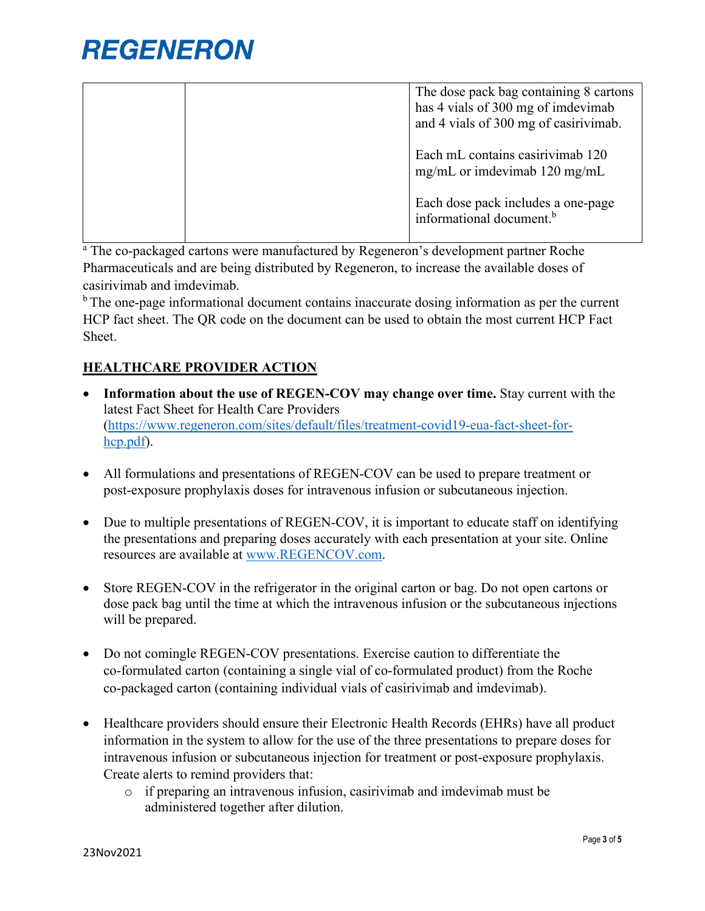| The dose pack bag containing 8 cartons<br>has 4 vials of 300 mg of imdevimab<br>and 4 vials of 300 mg of casirivimab. |
|-----------------------------------------------------------------------------------------------------------------------|
| Each mL contains casirivimab 120<br>mg/mL or imdevimab $120 \text{ mg/mL}$                                            |
| Each dose pack includes a one-page<br>informational document. <sup>b</sup>                                            |

<sup>a</sup> The co-packaged cartons were manufactured by Regeneron's development partner Roche Pharmaceuticals and are being distributed by Regeneron, to increase the available doses of casirivimab and imdevimab.

<sup>b</sup> The one-page informational document contains inaccurate dosing information as per the current HCP fact sheet. The QR code on the document can be used to obtain the most current [HCP Fact](https://www.regeneron.com/downloads/treatment-covid19-eua-fact-sheet-for-hcp.pdf)  [Sheet.](https://www.regeneron.com/downloads/treatment-covid19-eua-fact-sheet-for-hcp.pdf)

### **HEALTHCARE PROVIDER ACTION**

- Information about the use of REGEN-COV may change over time. Stay current with the latest Fact Sheet for Health Care Providers [\(https://www.regeneron.com/sites/default/files/treatment-covid19-eua-fact-sheet-for](https://www.regeneron.com/sites/default/files/treatment-covid19-eua-fact-sheet-for-hcp.pdf)[hcp.pdf\)](https://www.regeneron.com/sites/default/files/treatment-covid19-eua-fact-sheet-for-hcp.pdf).
- All formulations and presentations of REGEN-COV can be used to prepare treatment or post-exposure prophylaxis doses for intravenous infusion or subcutaneous injection.
- Due to multiple presentations of REGEN-COV, it is important to educate staff on identifying the presentations and preparing doses accurately with each presentation at your site. Online resources are available at [www.REGENCOV.com.](http://www.regencov.com/)
- Store REGEN-COV in the refrigerator in the original carton or bag. Do not open cartons or dose pack bag until the time at which the intravenous infusion or the subcutaneous injections will be prepared.
- Do not comingle REGEN-COV presentations. Exercise caution to differentiate the co‑formulated carton (containing a single vial of co-formulated product) from the Roche co‑packaged carton (containing individual vials of casirivimab and imdevimab).
- Healthcare providers should ensure their Electronic Health Records (EHRs) have all product information in the system to allow for the use of the three presentations to prepare doses for intravenous infusion or subcutaneous injection for treatment or post-exposure prophylaxis. Create alerts to remind providers that:
	- o if preparing an intravenous infusion, casirivimab and imdevimab must be administered together after dilution.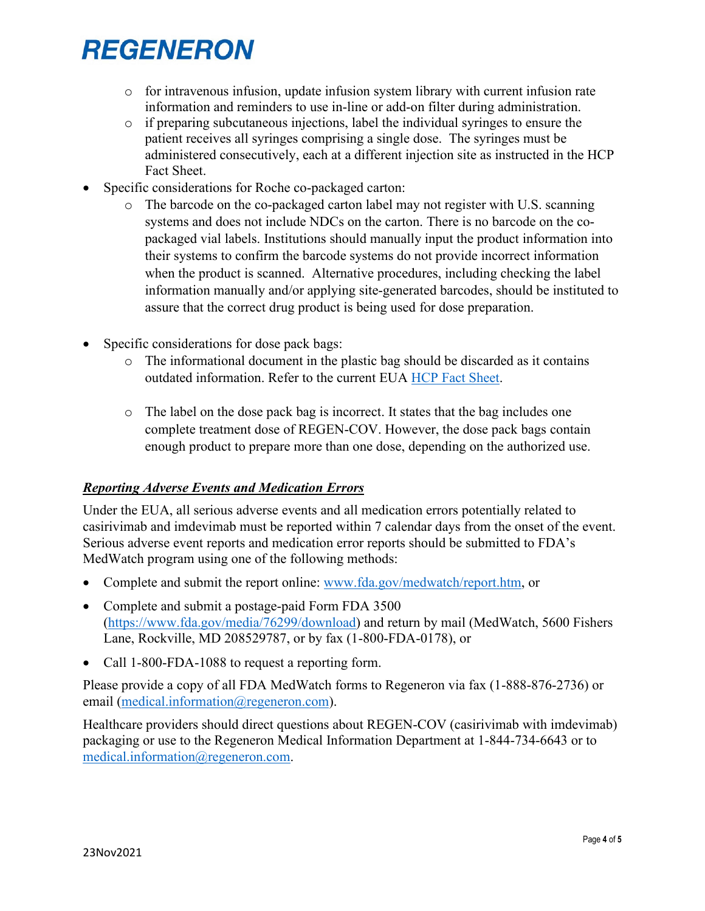- $\circ$  for intravenous infusion, update infusion system library with current infusion rate information and reminders to use in-line or add-on filter during administration.
- $\circ$  if preparing subcutaneous injections, label the individual syringes to ensure the patient receives all syringes comprising a single dose. The syringes must be administered consecutively, each at a different injection site as instructed in the HCP Fact Sheet.
- Specific considerations for Roche co-packaged carton:
	- o The barcode on the co-packaged carton label may not register with U.S. scanning systems and does not include NDCs on the carton. There is no barcode on the copackaged vial labels. Institutions should manually input the product information into their systems to confirm the barcode systems do not provide incorrect information when the product is scanned. Alternative procedures, including checking the label information manually and/or applying site-generated barcodes, should be instituted to assure that the correct drug product is being used for dose preparation.
- Specific considerations for dose pack bags:
	- o The informational document in the plastic bag should be discarded as it contains outdated information. Refer to the current EUA [HCP Fact Sheet.](https://www.regeneron.com/downloads/treatment-covid19-eua-fact-sheet-for-hcp.pdf)
	- o The label on the dose pack bag is incorrect. It states that the bag includes one complete treatment dose of REGEN-COV. However, the dose pack bags contain enough product to prepare more than one dose, depending on the authorized use.

### *Reporting Adverse Events and Medication Errors*

Under the EUA, all serious adverse events and all medication errors potentially related to casirivimab and imdevimab must be reported within 7 calendar days from the onset of the event. Serious adverse event reports and medication error reports should be submitted to FDA's MedWatch program using one of the following methods:

- Complete and submit the report online: [www.fda.gov/medwatch/report.htm,](http://www.fda.gov/medwatch/report.htm) or
- Complete and submit a postage-paid Form FDA 3500 [\(https://www.fda.gov/media/76299/download\)](https://www.fda.gov/media/76299/download) and return by mail (MedWatch, 5600 Fishers Lane, Rockville, MD 208529787, or by fax (1-800-FDA-0178), or
- Call 1-800-FDA-1088 to request a reporting form.

Please provide a copy of all FDA MedWatch forms to Regeneron via fax (1-888-876-2736) or email [\(medical.information@regeneron.com\)](mailto:medical.information@regeneron.com).

Healthcare providers should direct questions about REGEN-COV (casirivimab with imdevimab) packaging or use to the Regeneron Medical Information Department at 1-844-734-6643 or to [medical.information@regeneron.com.](mailto:medical.information@regeneron.com)